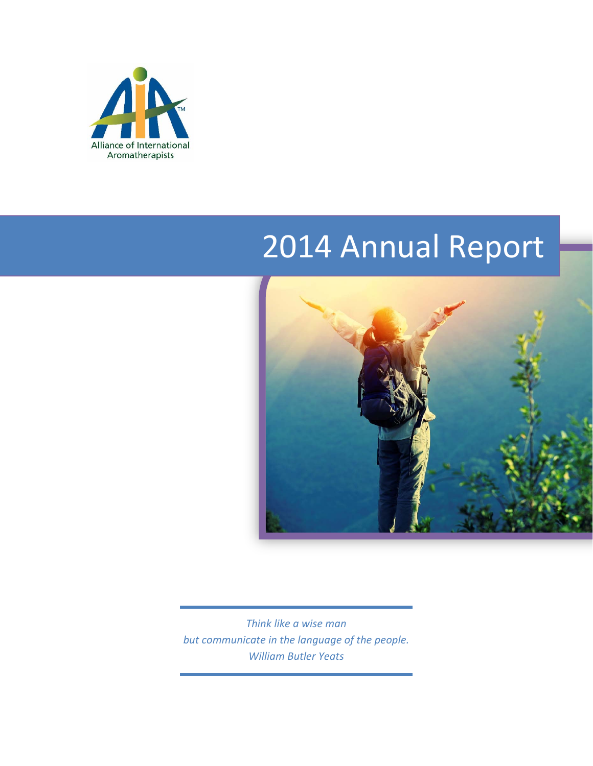

# 2014 Annual Report



*Think like a wise man but communicate in the language of the people. William Butler Yeats*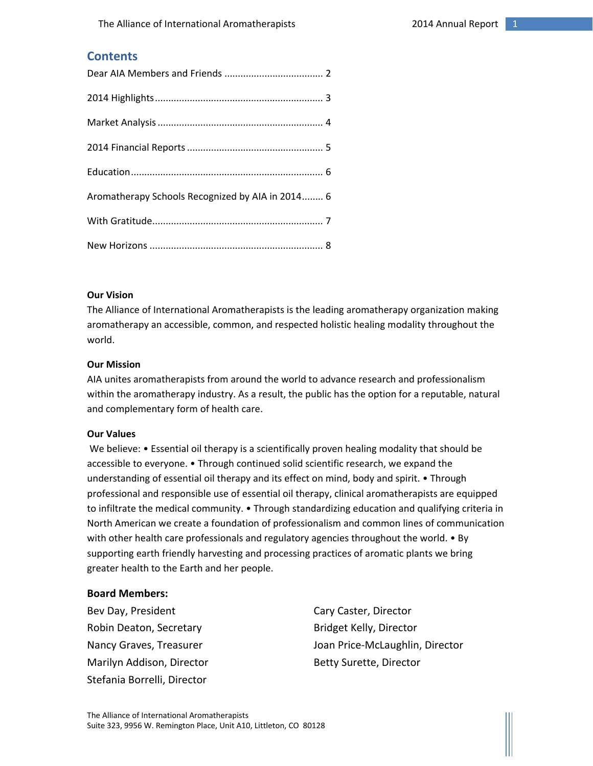## **Contents**

| Aromatherapy Schools Recognized by AIA in 2014 6 |
|--------------------------------------------------|
|                                                  |
|                                                  |

#### **Our Vision**

The Alliance of International Aromatherapists is the leading aromatherapy organization making aromatherapy an accessible, common, and respected holistic healing modality throughout the world.

#### **Our Mission**

AIA unites aromatherapists from around the world to advance research and professionalism within the aromatherapy industry. As a result, the public has the option for a reputable, natural and complementary form of health care.

#### **Our Values**

We believe: • Essential oil therapy is a scientifically proven healing modality that should be accessible to everyone. • Through continued solid scientific research, we expand the understanding of essential oil therapy and its effect on mind, body and spirit. • Through professional and responsible use of essential oil therapy, clinical aromatherapists are equipped to infiltrate the medical community. • Through standardizing education and qualifying criteria in North American we create a foundation of professionalism and common lines of communication with other health care professionals and regulatory agencies throughout the world. • By supporting earth friendly harvesting and processing practices of aromatic plants we bring greater health to the Earth and her people.

#### **Board Members:**

Bev Day, President **Cary Caster, Director** Robin Deaton, Secretary **Bridget Kelly, Director** Marilyn Addison, Director **Betty Surette, Director** Stefania Borrelli, Director

Nancy Graves, Treasurer **Joan Price-McLaughlin, Director**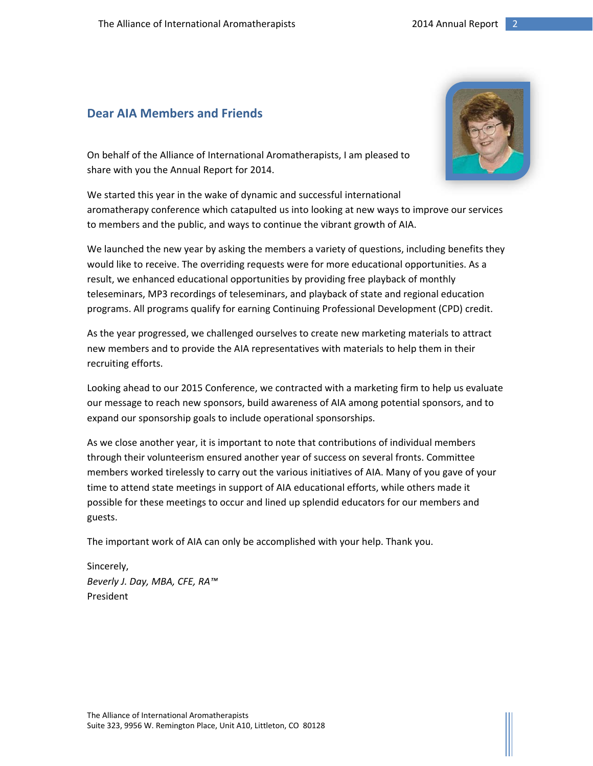# **Dear AIA Members and Friends**

On behalf of the Alliance of International Aromatherapists, I am pleased to share with you the Annual Report for 2014.

We started this year in the wake of dynamic and successful international aromatherapy conference which catapulted us into looking at new ways to improve our services to members and the public, and ways to continue the vibrant growth of AIA.

We launched the new year by asking the members a variety of questions, including benefits they would like to receive. The overriding requests were for more educational opportunities. As a result, we enhanced educational opportunities by providing free playback of monthly teleseminars, MP3 recordings of teleseminars, and playback of state and regional education programs. All programs qualify for earning Continuing Professional Development (CPD) credit.

As the year progressed, we challenged ourselves to create new marketing materials to attract new members and to provide the AIA representatives with materials to help them in their recruiting efforts.

Looking ahead to our 2015 Conference, we contracted with a marketing firm to help us evaluate our message to reach new sponsors, build awareness of AIA among potential sponsors, and to expand our sponsorship goals to include operational sponsorships.

As we close another year, it is important to note that contributions of individual members through their volunteerism ensured another year of success on several fronts. Committee members worked tirelessly to carry out the various initiatives of AIA. Many of you gave of your time to attend state meetings in support of AIA educational efforts, while others made it possible for these meetings to occur and lined up splendid educators for our members and guests.

The important work of AIA can only be accomplished with your help. Thank you.

Sincerely, *Beverly J. Day, MBA, CFE, RA™* President

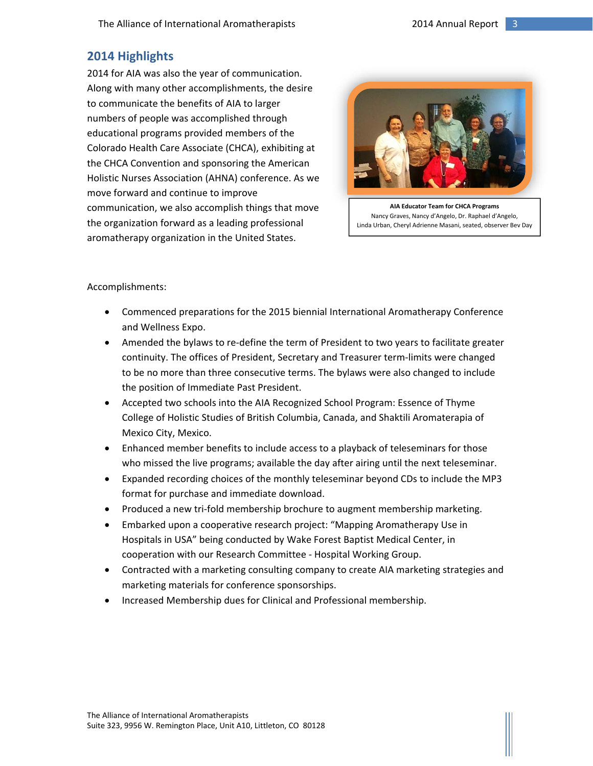# **2014 Highlights**

2014 for AIA was also the year of communication. Along with many other accomplishments, the desire to communicate the benefits of AIA to larger numbers of people was accomplished through educational programs provided members of the Colorado Health Care Associate (CHCA), exhibiting at the CHCA Convention and sponsoring the American Holistic Nurses Association (AHNA) conference. As we move forward and continue to improve communication, we also accomplish things that move the organization forward as a leading professional aromatherapy organization in the United States.



**AIA Educator Team for CHCA Programs** Nancy Graves, Nancy d'Angelo, Dr. Raphael d'Angelo, Linda Urban, Cheryl Adrienne Masani, seated, observer Bev Day

Accomplishments:

- Commenced preparations for the 2015 biennial International Aromatherapy Conference and Wellness Expo.
- Amended the bylaws to re-define the term of President to two years to facilitate greater continuity. The offices of President, Secretary and Treasurer term‐limits were changed to be no more than three consecutive terms. The bylaws were also changed to include the position of Immediate Past President.
- Accepted two schools into the AIA Recognized School Program: Essence of Thyme College of Holistic Studies of British Columbia, Canada, and Shaktili Aromaterapia of Mexico City, Mexico.
- Enhanced member benefits to include access to a playback of teleseminars for those who missed the live programs; available the day after airing until the next teleseminar.
- Expanded recording choices of the monthly teleseminar beyond CDs to include the MP3 format for purchase and immediate download.
- Produced a new tri-fold membership brochure to augment membership marketing.
- Embarked upon a cooperative research project: "Mapping Aromatherapy Use in Hospitals in USA" being conducted by Wake Forest Baptist Medical Center, in cooperation with our Research Committee ‐ Hospital Working Group.
- Contracted with a marketing consulting company to create AIA marketing strategies and marketing materials for conference sponsorships.
- Increased Membership dues for Clinical and Professional membership.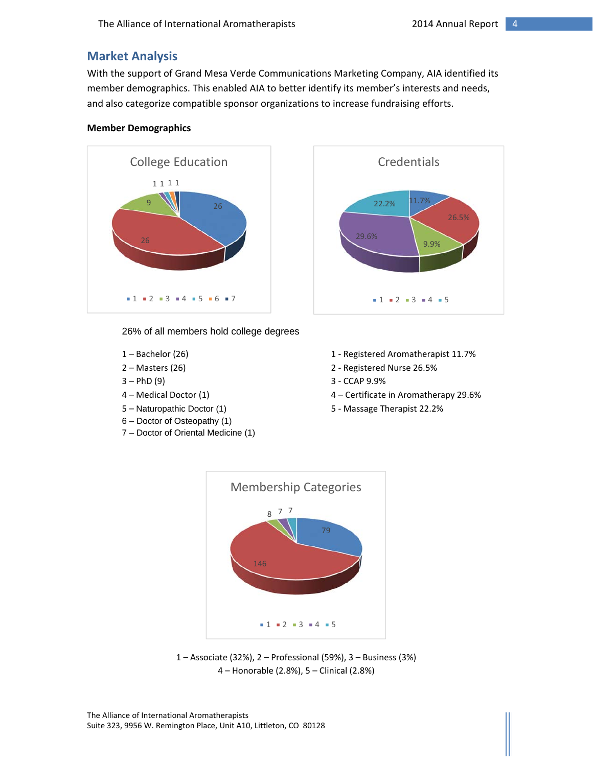# **Market Analysis**

With the support of Grand Mesa Verde Communications Marketing Company, AIA identified its member demographics. This enabled AIA to better identify its member's interests and needs, and also categorize compatible sponsor organizations to increase fundraising efforts.

#### **Member Demographics**



26% of all members hold college degrees

- 
- 
- 
- 
- 
- 6 Doctor of Osteopathy (1)
- 7 Doctor of Oriental Medicine (1)
- 1 Bachelor (26) 1 Registered Aromatherapist 11.7%
- 2 Masters (26) 2 Registered Nurse 26.5%
- $3 PhD (9)$  3 CCAP 9.9%
- 4 Medical Doctor (1) 4 Certificate in Aromatherapy 29.6%
- 5 Naturopathic Doctor (1) 5 Massage Therapist 22.2%



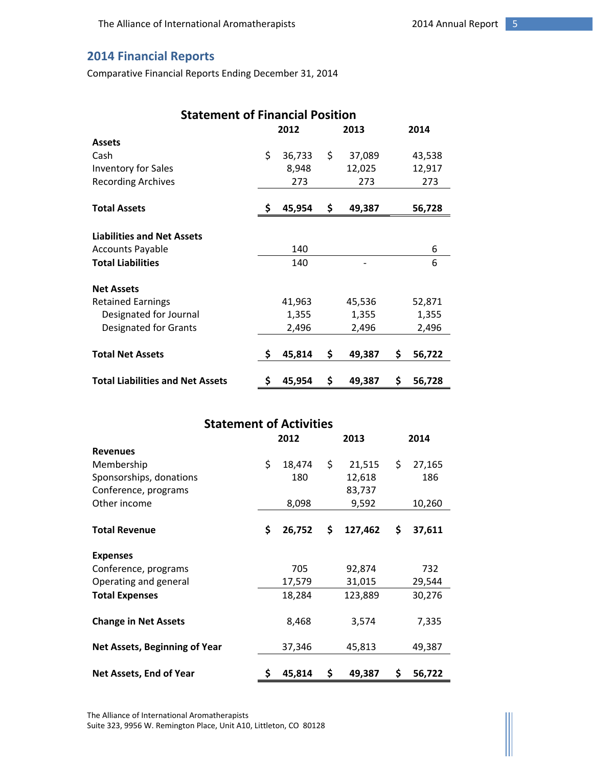# **2014 Financial Reports**

Comparative Financial Reports Ending December 31, 2014

| <b>Statement of Financial Position</b>  |              |        |      |        |    |        |
|-----------------------------------------|--------------|--------|------|--------|----|--------|
|                                         | 2012<br>2013 |        | 2014 |        |    |        |
| <b>Assets</b>                           |              |        |      |        |    |        |
| Cash                                    | \$           | 36,733 | \$   | 37,089 |    | 43,538 |
| <b>Inventory for Sales</b>              |              | 8,948  |      | 12,025 |    | 12,917 |
| <b>Recording Archives</b>               |              | 273    |      | 273    |    | 273    |
| <b>Total Assets</b>                     | \$           | 45,954 | \$   | 49,387 |    | 56,728 |
|                                         |              |        |      |        |    |        |
| <b>Liabilities and Net Assets</b>       |              |        |      |        |    |        |
| <b>Accounts Payable</b>                 |              | 140    |      |        |    | 6      |
| <b>Total Liabilities</b>                |              | 140    |      |        |    | 6      |
| <b>Net Assets</b>                       |              |        |      |        |    |        |
| <b>Retained Earnings</b>                |              | 41,963 |      | 45,536 |    | 52,871 |
| Designated for Journal                  |              | 1,355  |      | 1,355  |    | 1,355  |
| Designated for Grants                   |              | 2,496  |      | 2,496  |    | 2,496  |
| <b>Total Net Assets</b>                 | \$           | 45,814 | \$.  | 49,387 | \$ | 56,722 |
| <b>Total Liabilities and Net Assets</b> | \$           | 45,954 | \$   | 49,387 | \$ | 56,728 |

| <b>Statement of Activities</b>       |      |        |    |         |      |        |
|--------------------------------------|------|--------|----|---------|------|--------|
|                                      | 2012 |        |    | 2013    | 2014 |        |
| <b>Revenues</b>                      |      |        |    |         |      |        |
| Membership                           | \$   | 18,474 | \$ | 21,515  | \$   | 27,165 |
| Sponsorships, donations              |      | 180    |    | 12,618  |      | 186    |
| Conference, programs                 |      |        |    | 83,737  |      |        |
| Other income                         |      | 8,098  |    | 9,592   |      | 10,260 |
|                                      |      |        |    |         |      |        |
| <b>Total Revenue</b>                 | \$   | 26,752 | \$ | 127,462 | \$   | 37,611 |
|                                      |      |        |    |         |      |        |
| <b>Expenses</b>                      |      |        |    |         |      |        |
| Conference, programs                 |      | 705    |    | 92,874  |      | 732    |
| Operating and general                |      | 17,579 |    | 31,015  |      | 29,544 |
| <b>Total Expenses</b>                |      | 18,284 |    | 123,889 |      | 30,276 |
|                                      |      |        |    |         |      |        |
| <b>Change in Net Assets</b>          |      | 8,468  |    | 3,574   |      | 7,335  |
|                                      |      |        |    |         |      |        |
| <b>Net Assets, Beginning of Year</b> |      | 37,346 |    | 45,813  |      | 49,387 |
|                                      |      |        |    |         |      |        |
| Net Assets, End of Year              | \$   | 45,814 | \$ | 49,387  | \$   | 56,722 |

The Alliance of International Aromatherapists Suite 323, 9956 W. Remington Place, Unit A10, Littleton, CO 80128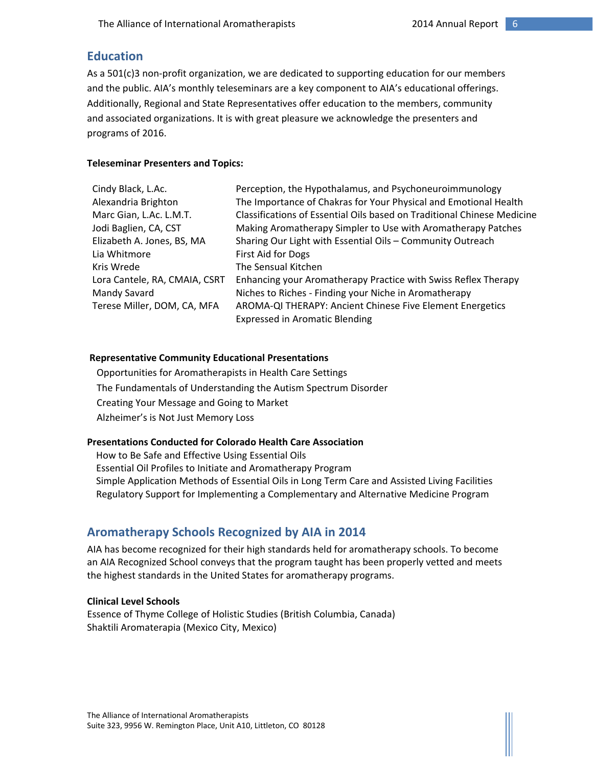# **Education**

As a 501(c)3 non-profit organization, we are dedicated to supporting education for our members and the public. AIA's monthly teleseminars are a key component to AIA's educational offerings. Additionally, Regional and State Representatives offer education to the members, community and associated organizations. It is with great pleasure we acknowledge the presenters and programs of 2016.

#### **Teleseminar Presenters and Topics:**

| Cindy Black, L.Ac.            | Perception, the Hypothalamus, and Psychoneuroimmunology                                            |
|-------------------------------|----------------------------------------------------------------------------------------------------|
| Alexandria Brighton           | The Importance of Chakras for Your Physical and Emotional Health                                   |
| Marc Gian, L.Ac. L.M.T.       | Classifications of Essential Oils based on Traditional Chinese Medicine                            |
| Jodi Baglien, CA, CST         | Making Aromatherapy Simpler to Use with Aromatherapy Patches                                       |
| Elizabeth A. Jones, BS, MA    | Sharing Our Light with Essential Oils - Community Outreach                                         |
| Lia Whitmore                  | First Aid for Dogs                                                                                 |
| Kris Wrede                    | The Sensual Kitchen                                                                                |
| Lora Cantele, RA, CMAIA, CSRT | Enhancing your Aromatherapy Practice with Swiss Reflex Therapy                                     |
| Mandy Savard                  | Niches to Riches - Finding your Niche in Aromatherapy                                              |
| Terese Miller, DOM, CA, MFA   | AROMA-QI THERAPY: Ancient Chinese Five Element Energetics<br><b>Expressed in Aromatic Blending</b> |
|                               |                                                                                                    |

#### **Representative Community Educational Presentations**

 Opportunities for Aromatherapists in Health Care Settings The Fundamentals of Understanding the Autism Spectrum Disorder Creating Your Message and Going to Market Alzheimer's is Not Just Memory Loss

## **Presentations Conducted for Colorado Health Care Association**

How to Be Safe and Effective Using Essential Oils Essential Oil Profiles to Initiate and Aromatherapy Program Simple Application Methods of Essential Oils in Long Term Care and Assisted Living Facilities Regulatory Support for Implementing a Complementary and Alternative Medicine Program

# **Aromatherapy Schools Recognized by AIA in 2014**

AIA has become recognized for their high standards held for aromatherapy schools. To become an AIA Recognized School conveys that the program taught has been properly vetted and meets the highest standards in the United States for aromatherapy programs.

## **Clinical Level Schools**

Essence of Thyme College of Holistic Studies (British Columbia, Canada) Shaktili Aromaterapia (Mexico City, Mexico)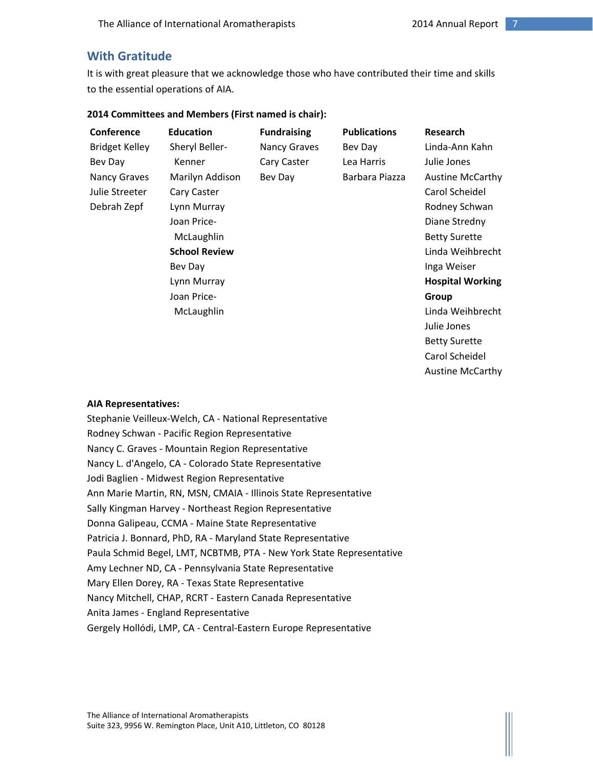Austine McCarthy

# **With Gratitude**

It is with great pleasure that we acknowledge those who have contributed their time and skills to the essential operations of AIA.

| Conference            | <b>Education</b>     | <b>Fundraising</b>  | <b>Publications</b> | Research                |
|-----------------------|----------------------|---------------------|---------------------|-------------------------|
| <b>Bridget Kelley</b> | Sheryl Beller-       | <b>Nancy Graves</b> | Bev Day             | Linda-Ann Kahn          |
| Bev Day               | Kenner               | Cary Caster         | Lea Harris          | Julie Jones             |
| <b>Nancy Graves</b>   | Marilyn Addison      | Bev Day             | Barbara Piazza      | <b>Austine McCarthy</b> |
| Julie Streeter        | Cary Caster          |                     |                     | Carol Scheidel          |
| Debrah Zepf           | Lynn Murray          |                     |                     | Rodney Schwan           |
|                       | Joan Price-          |                     |                     | Diane Stredny           |
|                       | McLaughlin           |                     |                     | <b>Betty Surette</b>    |
|                       | <b>School Review</b> |                     |                     | Linda Weihbrecht        |
|                       | Bev Day              |                     |                     | Inga Weiser             |
|                       | Lynn Murray          |                     |                     | <b>Hospital Working</b> |
|                       | Joan Price-          |                     |                     | Group                   |
|                       | McLaughlin           |                     |                     | Linda Weihbrecht        |
|                       |                      |                     |                     | Julie Jones             |
|                       |                      |                     |                     | <b>Betty Surette</b>    |
|                       |                      |                     |                     | Carol Scheidel          |

#### **2014 Committees and Members (First named is chair):**

#### **AIA Representatives:**

Stephanie Veilleux‐Welch, CA ‐ National Representative Rodney Schwan ‐ Pacific Region Representative Nancy C. Graves ‐ Mountain Region Representative Nancy L. d'Angelo, CA ‐ Colorado State Representative Jodi Baglien ‐ Midwest Region Representative Ann Marie Martin, RN, MSN, CMAIA ‐ Illinois State Representative Sally Kingman Harvey ‐ Northeast Region Representative Donna Galipeau, CCMA ‐ Maine State Representative Patricia J. Bonnard, PhD, RA ‐ Maryland State Representative Paula Schmid Begel, LMT, NCBTMB, PTA ‐ New York State Representative Amy Lechner ND, CA ‐ Pennsylvania State Representative Mary Ellen Dorey, RA ‐ Texas State Representative Nancy Mitchell, CHAP, RCRT ‐ Eastern Canada Representative Anita James ‐ England Representative Gergely Hollódi, LMP, CA ‐ Central‐Eastern Europe Representative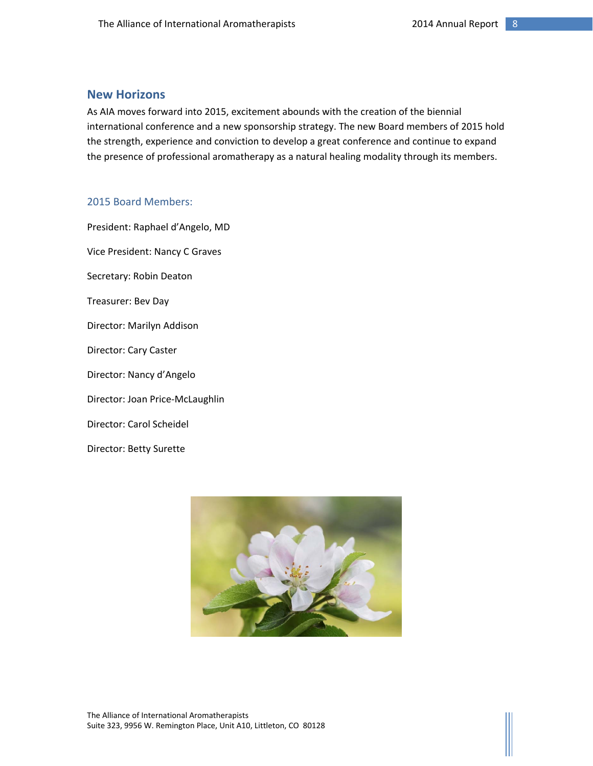# **New Horizons**

As AIA moves forward into 2015, excitement abounds with the creation of the biennial international conference and a new sponsorship strategy. The new Board members of 2015 hold the strength, experience and conviction to develop a great conference and continue to expand the presence of professional aromatherapy as a natural healing modality through its members.

#### 2015 Board Members:

President: Raphael d'Angelo, MD Vice President: Nancy C Graves Secretary: Robin Deaton Treasurer: Bev Day Director: Marilyn Addison Director: Cary Caster Director: Nancy d'Angelo Director: Joan Price‐McLaughlin Director: Carol Scheidel Director: Betty Surette